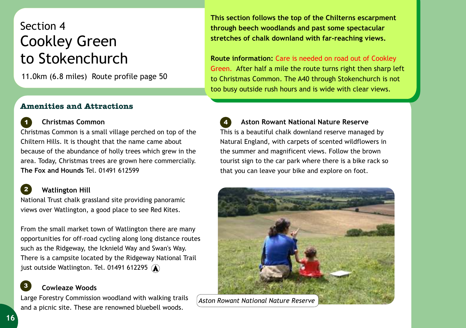## Section 4 Cookley Green to Stokenchurch

11.0km (6.8 miles) Route profile page 50

## **Amenities and Attractions**

**This section follows the top of the Chilterns escarpment through beech woodlands and past some spectacular stretches of chalk downland with far-reaching views.** 

**Route information:**  Care is needed on road out of Cookley Green. After half a mile the route turns right then sharp left to Christmas Common. The A40 through Stokenchurch is not too busy outside rush hours and is wide with clear views.

 **Aston Rowant National Nature Reserve** This is a beautiful chalk downland reserve managed by Natural England, with carpets of scented wildflowers in the summer and magnificent views. Follow the brown tourist sign to the car park where there is a bike rack so that you can leave your bike and explore on foot. *4*



*Aston Rowant National Nature Reserve*

 **Christmas Common** *1*

Christmas Common is a small village perched on top of the Chiltern Hills. It is thought that the name came about because of the abundance of holly trees which grew in the area. Today, Christmas trees are grown here commercially. **The Fox and Hounds** Tel. 01491 612599

## **Watlington Hill**

*2*

National Trust chalk grassland site providing panoramic views over Watlington, a good place to see Red Kites.

From the small market town of Watlington there are many opportunities for off-road cycling along long distance routes such as the Ridgeway, the Icknield Way and Swan's Way. There is a campsite located by the Ridgeway National Trail just outside Watlington. Tel. 01491 612295  $\mathbf{\widehat{A}}$ 

## **Cowleaze Woods**  *3*

Large Forestry Commission woodland with walking trails and a picnic site. These are renowned bluebell woods.